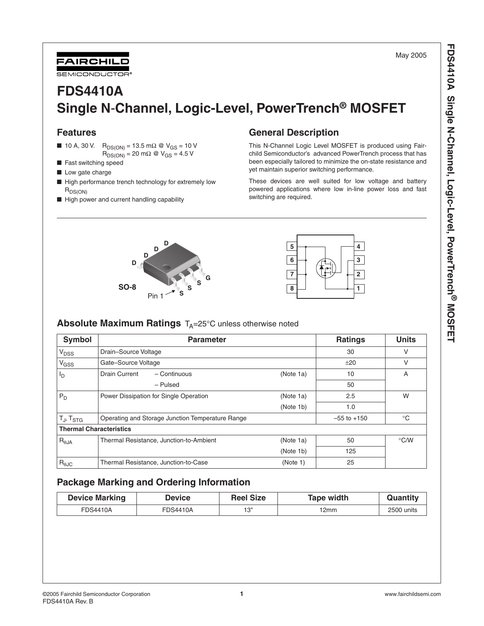May 2005

# **FDS4410A Single N**-**Channel, Logic-Level, PowerTrench® MOSFET**

# **Features**

- 10 A, 30 V. R<sub>DS(ON)</sub> = 13.5 mΩ @ V<sub>GS</sub> = 10 V  $R_{DS(ON)} = 20 \text{ m}\Omega \text{ } \textcircled{ } V_{GS} = 4.5 \text{ V}$
- 
- Fast switching speed

FAIRCHILD SEMICONDUCTOR

- Low gate charge
- High performance trench technology for extremely low  $R_{DS(ON)}$

**D D D D**

**SO-8**

■ High power and current handling capability

# **General Description**

This N-Channel Logic Level MOSFET is produced using Fairchild Semiconductor's advanced PowerTrench process that has been especially tailored to minimize the on-state resistance and yet maintain superior switching performance.

These devices are well suited for low voltage and battery powered applications where low in-line power loss and fast switching are required.

> $5 \rightarrow \rightarrow \rightarrow \rightarrow$ **6 3 7 2 8 1**

| <b>Absolute Maximum Ratings</b> $T_A = 25^\circ C$ unless otherwise noted |  |
|---------------------------------------------------------------------------|--|
|---------------------------------------------------------------------------|--|

Pin 1

**S S S G**

| <b>Symbol</b>                  | <b>Parameter</b>                                 | <b>Ratings</b> | <b>Units</b>    |               |
|--------------------------------|--------------------------------------------------|----------------|-----------------|---------------|
| <b>V<sub>DSS</sub></b>         | Drain-Source Voltage                             |                | 30              | v             |
| V <sub>GSS</sub>               | Gate-Source Voltage                              |                | ±20             | ν             |
| <sup>I</sup> D                 | Drain Current<br>- Continuous                    | (Note 1a)      | 10              | A             |
|                                | - Pulsed                                         |                | 50              |               |
| $P_D$                          | Power Dissipation for Single Operation           | (Note 1a)      | 2.5             | W             |
|                                |                                                  | (Note 1b)      | 1.0             |               |
| $T_J$ , $T_{STG}$              | Operating and Storage Junction Temperature Range |                | $-55$ to $+150$ | $^{\circ}$ C  |
| <b>Thermal Characteristics</b> |                                                  |                |                 |               |
| $R_{\theta$ JA                 | Thermal Resistance, Junction-to-Ambient          | (Note 1a)      | 50              | $\degree$ C/W |
|                                |                                                  | (Note 1b)      | 125             |               |
| $R_{\theta$ JC                 | Thermal Resistance, Junction-to-Case             | (Note 1)       | 25              |               |

# **Package Marking and Ordering Information**

| <b>Device Marking</b> | <b>Device</b> | <b>Reel Size</b> | Tape width | Quantity   |
|-----------------------|---------------|------------------|------------|------------|
| FDS4410A              | FDS4410A      | ים 1             | 2mm        | 2500 units |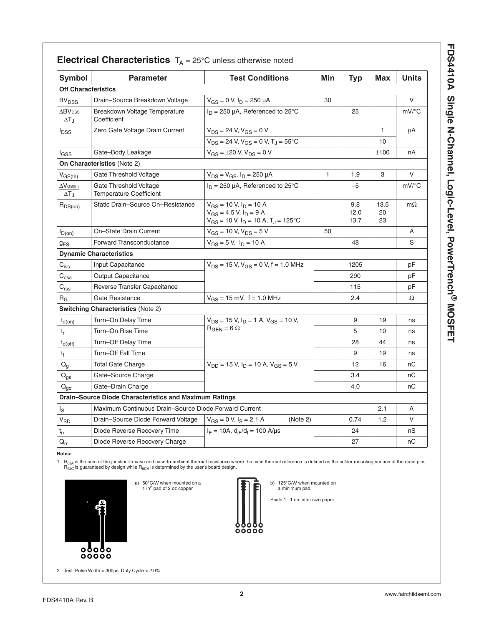| ר כבב הבר ה                                                                                                                                                                                                                                                                                                                                          |
|------------------------------------------------------------------------------------------------------------------------------------------------------------------------------------------------------------------------------------------------------------------------------------------------------------------------------------------------------|
| <u>ן</u><br>5<br>?<br>--------- International LOUIC-LEVEI, POWELTERING<br>Ҭ                                                                                                                                                                                                                                                                          |
| $\frac{1}{2}$<br>$\mathbf{r}$                                                                                                                                                                                                                                                                                                                        |
| ı<br>ঌ                                                                                                                                                                                                                                                                                                                                               |
| $\frac{1}{2}$ $\frac{1}{2}$ $\frac{1}{2}$ $\frac{1}{2}$ $\frac{1}{2}$ $\frac{1}{2}$ $\frac{1}{2}$ $\frac{1}{2}$ $\frac{1}{2}$ $\frac{1}{2}$ $\frac{1}{2}$ $\frac{1}{2}$ $\frac{1}{2}$ $\frac{1}{2}$ $\frac{1}{2}$ $\frac{1}{2}$ $\frac{1}{2}$ $\frac{1}{2}$ $\frac{1}{2}$ $\frac{1}{2}$ $\frac{1}{2}$ $\frac{1}{2}$<br>ׇׇׇ֪֪֦֚֚֝֝֬֝֓֕֓֕֓֕֓֕֓֡֓֡<br>ί |

| <b>Electrical Unaracteristics</b> $I_A = 25^\circ$ Unitess otherwise holed |                                                          |                                                                                                                         |     |                     |                  |              |
|----------------------------------------------------------------------------|----------------------------------------------------------|-------------------------------------------------------------------------------------------------------------------------|-----|---------------------|------------------|--------------|
| Symbol                                                                     | <b>Parameter</b>                                         | <b>Test Conditions</b>                                                                                                  | Min | <b>Typ</b>          | <b>Max</b>       | <b>Units</b> |
| <b>Off Characteristics</b>                                                 |                                                          |                                                                                                                         |     |                     |                  |              |
| <b>BV<sub>DSS</sub></b>                                                    | Drain-Source Breakdown Voltage                           | $V_{GS} = 0$ V, $I_D = 250$ µA                                                                                          | 30  |                     |                  | $\vee$       |
| $\Delta$ BV <sub>DSS</sub><br>$\Delta T_{\rm J}$                           | Breakdown Voltage Temperature<br>Coefficient             | $I_D = 250 \mu A$ , Referenced to 25°C                                                                                  |     | 25                  |                  | $mV$ /°C     |
| <b>I</b> <sub>DSS</sub>                                                    | Zero Gate Voltage Drain Current                          | $V_{DS}$ = 24 V, $V_{GS}$ = 0 V                                                                                         |     |                     | $\mathbf{1}$     | μA           |
|                                                                            |                                                          | $V_{DS}$ = 24 V, $V_{GS}$ = 0 V, T <sub>J</sub> = 55°C                                                                  |     |                     | 10               |              |
| lgss                                                                       | Gate-Body Leakage                                        | $V_{GS} = \pm 20$ V, $V_{DS} = 0$ V                                                                                     |     |                     | ±100             | nA           |
|                                                                            | On Characteristics (Note 2)                              |                                                                                                                         |     |                     |                  |              |
| $V_{GS(th)}$                                                               | Gate Threshold Voltage                                   | $V_{DS} = V_{GS}$ , $I_D = 250 \mu A$                                                                                   | 1   | 1.9                 | 3                | $\vee$       |
| $\Delta V$ GS(th)<br>$\Delta T_J$                                          | Gate Threshold Voltage<br><b>Temperature Coefficient</b> | $I_D = 250 \mu A$ , Referenced to 25°C                                                                                  |     | -5                  |                  | $mV$ /°C     |
| $R_{DS(on)}$                                                               | Static Drain-Source On-Resistance                        | $V_{GS}$ = 10 V, $I_D$ = 10 A<br>$V_{GS}$ = 4.5 V, $I_D$ = 9 A<br>$V_{GS}$ = 10 V, $I_D$ = 10 A, T <sub>J</sub> = 125°C |     | 9.8<br>12.0<br>13.7 | 13.5<br>20<br>23 | $m\Omega$    |
| $I_{D(0n)}$                                                                | On-State Drain Current                                   | $V_{GS}$ = 10 V, $V_{DS}$ = 5 V                                                                                         | 50  |                     |                  | A            |
| $g_{FS}$                                                                   | <b>Forward Transconductance</b>                          | $V_{DS} = 5 V$ , $I_D = 10 A$                                                                                           |     | 48                  |                  | S            |
|                                                                            | <b>Dynamic Characteristics</b>                           |                                                                                                                         |     |                     |                  |              |
| $C_{\text{iss}}$                                                           | Input Capacitance                                        | $V_{DS}$ = 15 V, $V_{GS}$ = 0 V, f = 1.0 MHz                                                                            |     | 1205                |                  | pF           |
| $C_{\text{oss}}$                                                           | <b>Output Capacitance</b>                                |                                                                                                                         |     | 290                 |                  | рF           |
| C <sub>rss</sub>                                                           | Reverse Transfer Capacitance                             |                                                                                                                         |     | 115                 |                  | pF           |
| $R_G$                                                                      | Gate Resistance                                          | $V_{GS}$ = 15 mV, f = 1.0 MHz                                                                                           |     | 2.4                 |                  | Ω            |
|                                                                            | <b>Switching Characteristics (Note 2)</b>                |                                                                                                                         |     |                     |                  |              |
| $t_{d(on)}$                                                                | Turn-On Delay Time                                       | $V_{DS}$ = 15 V, $I_D$ = 1 A, $V_{GS}$ = 10 V,                                                                          |     | 9                   | 19               | ns           |
| $\mathfrak{t}_{\mathsf{r}}$                                                | Turn-On Rise Time                                        | $R_{GEN} = 6 \Omega$                                                                                                    |     | 5                   | 10               | ns           |
| $t_{d(off)}$                                                               | Turn-Off Delay Time                                      |                                                                                                                         |     | 28                  | 44               | ns           |
| $t_f$                                                                      | Turn-Off Fall Time                                       |                                                                                                                         |     | 9                   | 19               | ns           |
| $\mathsf{Q}_{\mathsf{g}}$                                                  | <b>Total Gate Charge</b>                                 | $V_{DD}$ = 15 V, $I_D$ = 10 A, $V_{GS}$ = 5 V                                                                           |     | 12                  | 16               | nС           |
| $Q_{gs}$                                                                   | Gate-Source Charge                                       |                                                                                                                         |     | 3.4                 |                  | nC           |
| $Q_{gd}$                                                                   | Gate-Drain Charge                                        |                                                                                                                         |     | 4.0                 |                  | nC           |
| <b>Drain-Source Diode Characteristics and Maximum Ratings</b>              |                                                          |                                                                                                                         |     |                     |                  |              |
| $I_{\rm S}$                                                                | Maximum Continuous Drain-Source Diode Forward Current    |                                                                                                                         |     |                     | 2.1              | Α            |
| $\mathsf{V}_{\mathsf{SD}}$                                                 | Drain-Source Diode Forward Voltage                       | $V_{GS} = 0$ V, $I_S = 2.1$ A<br>(Note 2)                                                                               |     | 0.74                | 1.2              | $\vee$       |
| $\mathfrak{t}_{\text{rr}}$                                                 | Diode Reverse Recovery Time                              | $I_F = 10A$ , $d_{IF}/d_t = 100$ A/µs                                                                                   |     | 24                  |                  | nS           |
| $Q_{rr}$                                                                   | Diode Reverse Recovery Charge                            |                                                                                                                         |     | 27                  |                  | nC           |

# **Electrical Characteristics T.**  $-$  25°C unless otherwise noted

**Notes:** 

1. R<sub>6JA</sub> is the sum of the junction-to-case and case-to-ambient thermal resistance where the case thermal reference is defined as the solder mounting surface of the drain pins.<br>R<sub>6JC</sub> is guaranteed by design while R<sub>6CA</sub>

oο



2. Test: Pulse Width < 300µs, Duty Cycle < 2.0%





b) 125°C/W when mounted on a minimum pad.

Scale 1 : 1 on letter size paper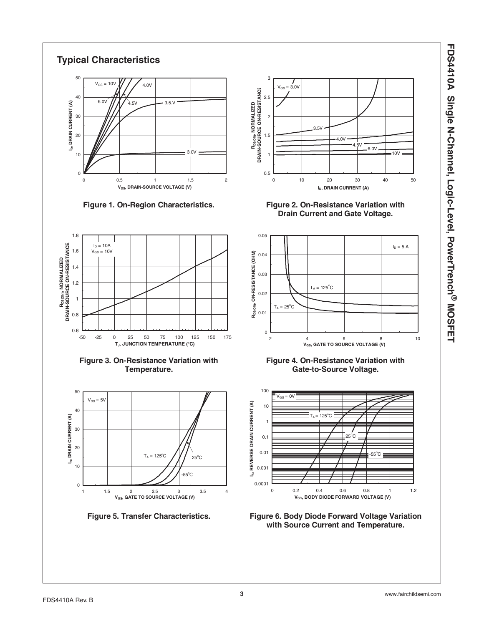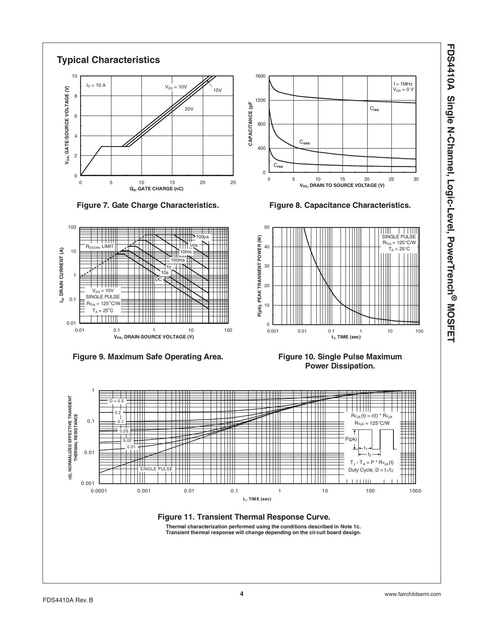